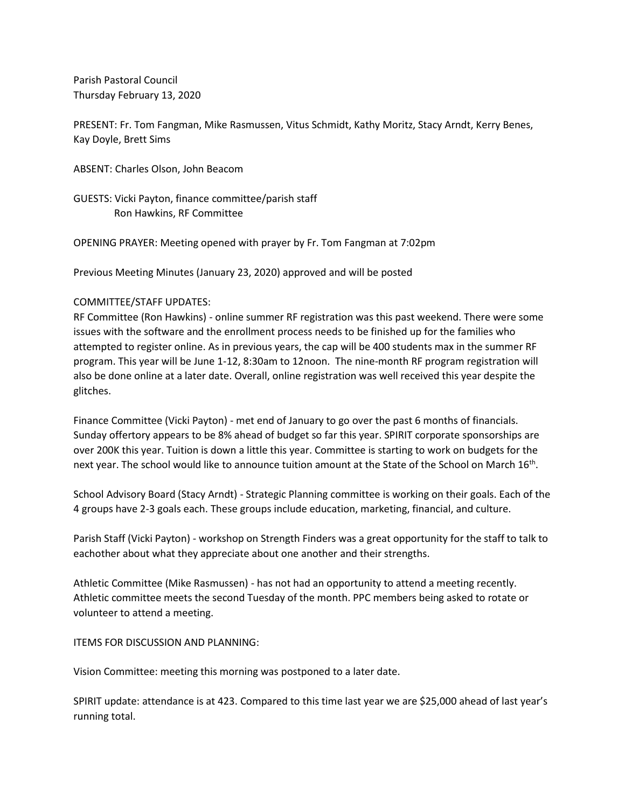Parish Pastoral Council Thursday February 13, 2020

PRESENT: Fr. Tom Fangman, Mike Rasmussen, Vitus Schmidt, Kathy Moritz, Stacy Arndt, Kerry Benes, Kay Doyle, Brett Sims

ABSENT: Charles Olson, John Beacom

GUESTS: Vicki Payton, finance committee/parish staff Ron Hawkins, RF Committee

OPENING PRAYER: Meeting opened with prayer by Fr. Tom Fangman at 7:02pm

Previous Meeting Minutes (January 23, 2020) approved and will be posted

## COMMITTEE/STAFF UPDATES:

RF Committee (Ron Hawkins) - online summer RF registration was this past weekend. There were some issues with the software and the enrollment process needs to be finished up for the families who attempted to register online. As in previous years, the cap will be 400 students max in the summer RF program. This year will be June 1-12, 8:30am to 12noon. The nine-month RF program registration will also be done online at a later date. Overall, online registration was well received this year despite the glitches.

Finance Committee (Vicki Payton) - met end of January to go over the past 6 months of financials. Sunday offertory appears to be 8% ahead of budget so far this year. SPIRIT corporate sponsorships are over 200K this year. Tuition is down a little this year. Committee is starting to work on budgets for the next year. The school would like to announce tuition amount at the State of the School on March 16<sup>th</sup>.

School Advisory Board (Stacy Arndt) - Strategic Planning committee is working on their goals. Each of the 4 groups have 2-3 goals each. These groups include education, marketing, financial, and culture.

Parish Staff (Vicki Payton) - workshop on Strength Finders was a great opportunity for the staff to talk to eachother about what they appreciate about one another and their strengths.

Athletic Committee (Mike Rasmussen) - has not had an opportunity to attend a meeting recently. Athletic committee meets the second Tuesday of the month. PPC members being asked to rotate or volunteer to attend a meeting.

ITEMS FOR DISCUSSION AND PLANNING:

Vision Committee: meeting this morning was postponed to a later date.

SPIRIT update: attendance is at 423. Compared to this time last year we are \$25,000 ahead of last year's running total.